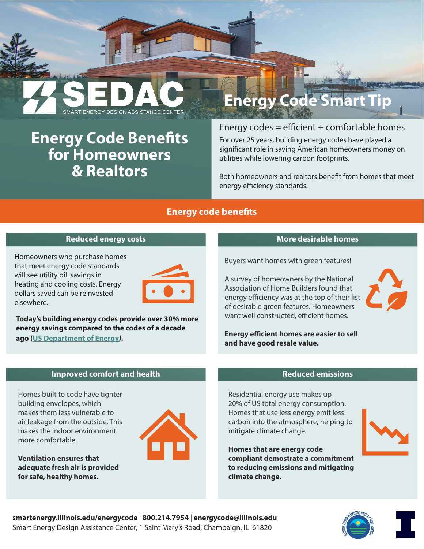ART ENERGY DESIGN ASSISTANCE CENTER **Energy Code Benefits for Homeowners & Realtors** 

# Energy codes =  $efficient + comfortable$  homes

**Energy Code Smart Tip**

For over 25 years, building energy codes have played a significant role in saving American homeowners money on utilities while lowering carbon footprints.

Both homeowners and realtors benefit from homes that meet energy efficiency standards.

## **Energy code benefits**

## **Reduced energy costs**

Homeowners who purchase homes that meet energy code standards will see utility bill savings in heating and cooling costs. Energy dollars saved can be reinvested elsewhere.



**Today's building energy codes provide over 30% more energy savings compared to the codes of a decade ago [\(US Department of Energy](https://www.energy.gov/sites/prod/files/2016/12/f34/Codes%20Fact%20Sheet%2012-28-16.pdf)***).*

## **More desirable homes**

Buyers want homes with green features!

A survey of homeowners by the National Association of Home Builders found that energy efficiency was at the top of their list of desirable green features. Homeowners want well constructed, efficient homes.

**Energy efficient homes are easier to sell and have good resale value.** 

#### **Improved comfort and health**

Homes built to code have tighter building envelopes, which makes them less vulnerable to air leakage from the outside. This makes the indoor environment more comfortable.

**Ventilation ensures that adequate fresh air is provided for safe, healthy homes.**



### **Reduced emissions**

Residential energy use makes up 20% of US total energy consumption. Homes that use less energy emit less carbon into the atmosphere, helping to mitigate climate change.

**Homes that are energy code compliant demostrate a commitment to reducing emissions and mitigating climate change.**





**smartenergy.illinois.edu/energycode** | **800.214.7954** | **energycode@illinois.ed[u](mailto:info%40sedac.org%20?subject=)** Smart Energy Design Assistance Center, 1 Saint Mary's Road, Champaign, IL 61820